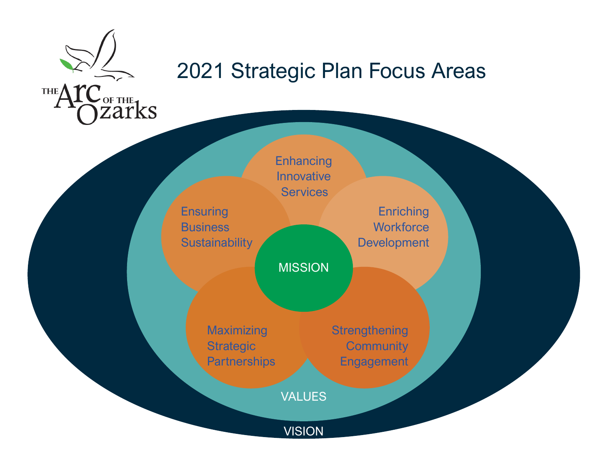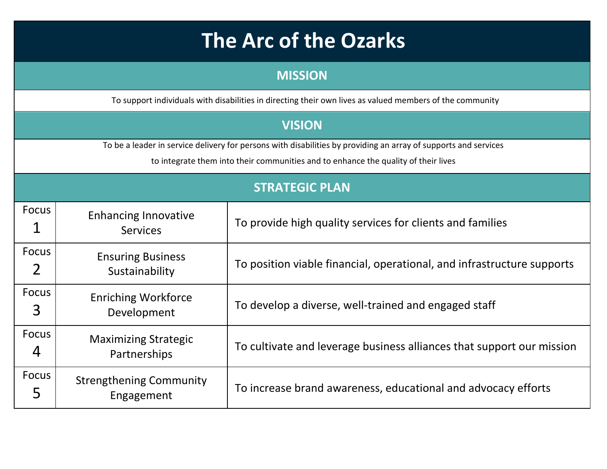## **The Arc of the Ozarks**

| <b>MISSION</b>                                                                                                                                                                                        |                                                |                                                                        |  |  |  |
|-------------------------------------------------------------------------------------------------------------------------------------------------------------------------------------------------------|------------------------------------------------|------------------------------------------------------------------------|--|--|--|
| To support individuals with disabilities in directing their own lives as valued members of the community                                                                                              |                                                |                                                                        |  |  |  |
|                                                                                                                                                                                                       |                                                | <b>VISION</b>                                                          |  |  |  |
| To be a leader in service delivery for persons with disabilities by providing an array of supports and services<br>to integrate them into their communities and to enhance the quality of their lives |                                                |                                                                        |  |  |  |
|                                                                                                                                                                                                       | <b>STRATEGIC PLAN</b>                          |                                                                        |  |  |  |
| Focus                                                                                                                                                                                                 | <b>Enhancing Innovative</b><br><b>Services</b> | To provide high quality services for clients and families              |  |  |  |
| Focus                                                                                                                                                                                                 | <b>Ensuring Business</b><br>Sustainability     | To position viable financial, operational, and infrastructure supports |  |  |  |
| <b>Focus</b><br>3                                                                                                                                                                                     | <b>Enriching Workforce</b><br>Development      | To develop a diverse, well-trained and engaged staff                   |  |  |  |
| Focus<br>4                                                                                                                                                                                            | <b>Maximizing Strategic</b><br>Partnerships    | To cultivate and leverage business alliances that support our mission  |  |  |  |
| Focus<br>5                                                                                                                                                                                            | <b>Strengthening Community</b><br>Engagement   | To increase brand awareness, educational and advocacy efforts          |  |  |  |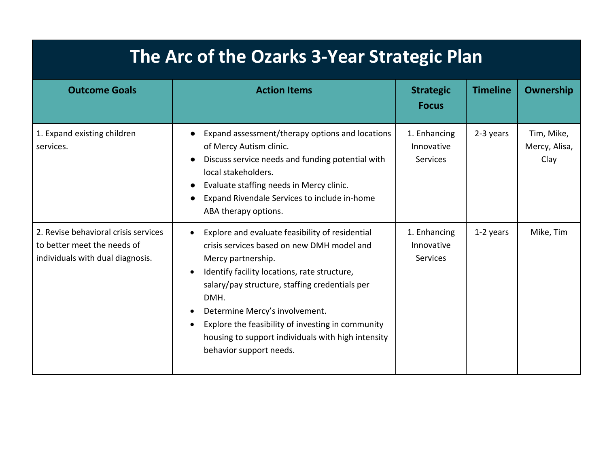## **The Arc of the Ozarks 3-Year Strategic Plan**

| <b>Outcome Goals</b>                                                                                    | <b>Action Items</b>                                                                                                                                                                                                                                                                                                                                                                                   | <b>Strategic</b><br><b>Focus</b>              | <b>Timeline</b> | <b>Ownership</b>                    |
|---------------------------------------------------------------------------------------------------------|-------------------------------------------------------------------------------------------------------------------------------------------------------------------------------------------------------------------------------------------------------------------------------------------------------------------------------------------------------------------------------------------------------|-----------------------------------------------|-----------------|-------------------------------------|
| 1. Expand existing children<br>services.                                                                | Expand assessment/therapy options and locations<br>of Mercy Autism clinic.<br>Discuss service needs and funding potential with<br>local stakeholders.<br>Evaluate staffing needs in Mercy clinic.<br>Expand Rivendale Services to include in-home<br>ABA therapy options.                                                                                                                             | 1. Enhancing<br>Innovative<br><b>Services</b> | 2-3 years       | Tim, Mike,<br>Mercy, Alisa,<br>Clay |
| 2. Revise behavioral crisis services<br>to better meet the needs of<br>individuals with dual diagnosis. | Explore and evaluate feasibility of residential<br>crisis services based on new DMH model and<br>Mercy partnership.<br>Identify facility locations, rate structure,<br>salary/pay structure, staffing credentials per<br>DMH.<br>Determine Mercy's involvement.<br>Explore the feasibility of investing in community<br>housing to support individuals with high intensity<br>behavior support needs. | 1. Enhancing<br>Innovative<br><b>Services</b> | 1-2 years       | Mike, Tim                           |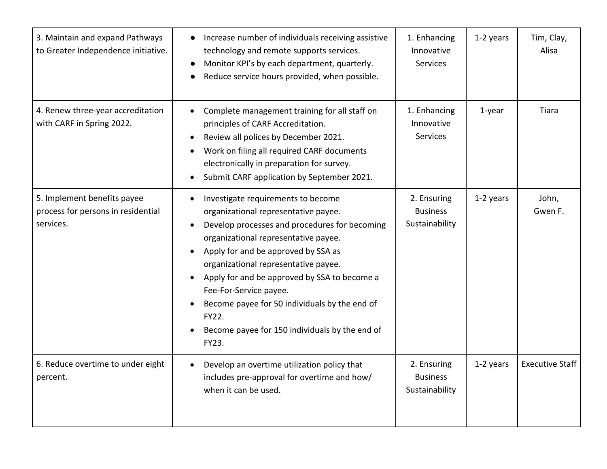| 3. Maintain and expand Pathways<br>to Greater Independence initiative.         | Increase number of individuals receiving assistive<br>technology and remote supports services.<br>Monitor KPI's by each department, quarterly.<br>Reduce service hours provided, when possible.                                                                                                                                                                                                                                                   | 1. Enhancing<br>Innovative<br>Services           | 1-2 years | Tim, Clay,<br>Alisa    |
|--------------------------------------------------------------------------------|---------------------------------------------------------------------------------------------------------------------------------------------------------------------------------------------------------------------------------------------------------------------------------------------------------------------------------------------------------------------------------------------------------------------------------------------------|--------------------------------------------------|-----------|------------------------|
| 4. Renew three-year accreditation<br>with CARF in Spring 2022.                 | Complete management training for all staff on<br>principles of CARF Accreditation.<br>Review all polices by December 2021.<br>$\bullet$<br>Work on filing all required CARF documents<br>electronically in preparation for survey.<br>Submit CARF application by September 2021.                                                                                                                                                                  | 1. Enhancing<br>Innovative<br>Services           | $1$ -year | Tiara                  |
| 5. Implement benefits payee<br>process for persons in residential<br>services. | Investigate requirements to become<br>organizational representative payee.<br>Develop processes and procedures for becoming<br>organizational representative payee.<br>Apply for and be approved by SSA as<br>organizational representative payee.<br>Apply for and be approved by SSA to become a<br>Fee-For-Service payee.<br>Become payee for 50 individuals by the end of<br>FY22.<br>Become payee for 150 individuals by the end of<br>FY23. | 2. Ensuring<br><b>Business</b><br>Sustainability | 1-2 years | John,<br>Gwen F.       |
| 6. Reduce overtime to under eight<br>percent.                                  | Develop an overtime utilization policy that<br>$\bullet$<br>includes pre-approval for overtime and how/<br>when it can be used.                                                                                                                                                                                                                                                                                                                   | 2. Ensuring<br><b>Business</b><br>Sustainability | 1-2 years | <b>Executive Staff</b> |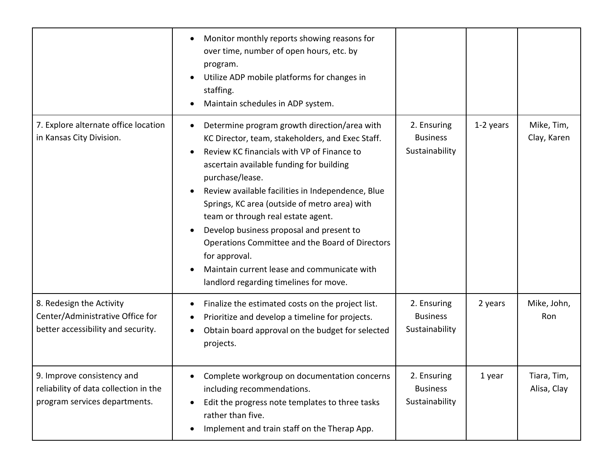|                                                                                                      | Monitor monthly reports showing reasons for<br>over time, number of open hours, etc. by<br>program.<br>Utilize ADP mobile platforms for changes in<br>staffing.<br>Maintain schedules in ADP system.                                                                                                                                                                                                                                                                                                                                                               |                                                  |           |                            |
|------------------------------------------------------------------------------------------------------|--------------------------------------------------------------------------------------------------------------------------------------------------------------------------------------------------------------------------------------------------------------------------------------------------------------------------------------------------------------------------------------------------------------------------------------------------------------------------------------------------------------------------------------------------------------------|--------------------------------------------------|-----------|----------------------------|
| 7. Explore alternate office location<br>in Kansas City Division.                                     | Determine program growth direction/area with<br>KC Director, team, stakeholders, and Exec Staff.<br>Review KC financials with VP of Finance to<br>ascertain available funding for building<br>purchase/lease.<br>Review available facilities in Independence, Blue<br>Springs, KC area (outside of metro area) with<br>team or through real estate agent.<br>Develop business proposal and present to<br>Operations Committee and the Board of Directors<br>for approval.<br>Maintain current lease and communicate with<br>landlord regarding timelines for move. | 2. Ensuring<br><b>Business</b><br>Sustainability | 1-2 years | Mike, Tim,<br>Clay, Karen  |
| 8. Redesign the Activity<br>Center/Administrative Office for<br>better accessibility and security.   | Finalize the estimated costs on the project list.<br>Prioritize and develop a timeline for projects.<br>Obtain board approval on the budget for selected<br>projects.                                                                                                                                                                                                                                                                                                                                                                                              | 2. Ensuring<br><b>Business</b><br>Sustainability | 2 years   | Mike, John,<br>Ron         |
| 9. Improve consistency and<br>reliability of data collection in the<br>program services departments. | Complete workgroup on documentation concerns<br>including recommendations.<br>Edit the progress note templates to three tasks<br>rather than five.<br>Implement and train staff on the Therap App.                                                                                                                                                                                                                                                                                                                                                                 | 2. Ensuring<br><b>Business</b><br>Sustainability | 1 year    | Tiara, Tim,<br>Alisa, Clay |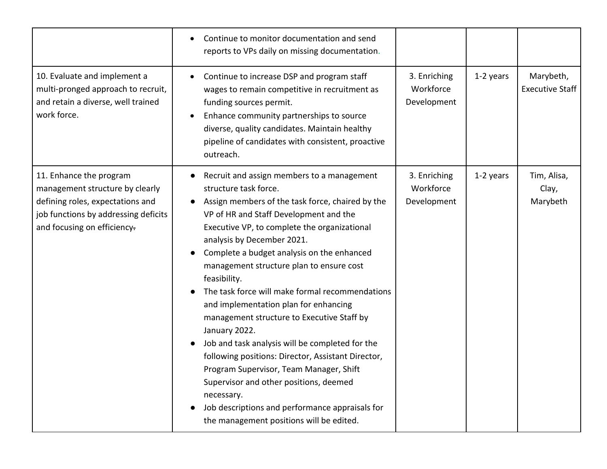|                                                                                                                                                                       | Continue to monitor documentation and send<br>reports to VPs daily on missing documentation.                                                                                                                                                                                                                                                                                                                                                                                                                                                                                                                                                                                                                                                                                                                                    |                                          |           |                                     |
|-----------------------------------------------------------------------------------------------------------------------------------------------------------------------|---------------------------------------------------------------------------------------------------------------------------------------------------------------------------------------------------------------------------------------------------------------------------------------------------------------------------------------------------------------------------------------------------------------------------------------------------------------------------------------------------------------------------------------------------------------------------------------------------------------------------------------------------------------------------------------------------------------------------------------------------------------------------------------------------------------------------------|------------------------------------------|-----------|-------------------------------------|
| 10. Evaluate and implement a<br>multi-pronged approach to recruit,<br>and retain a diverse, well trained<br>work force.                                               | Continue to increase DSP and program staff<br>wages to remain competitive in recruitment as<br>funding sources permit.<br>Enhance community partnerships to source<br>diverse, quality candidates. Maintain healthy<br>pipeline of candidates with consistent, proactive<br>outreach.                                                                                                                                                                                                                                                                                                                                                                                                                                                                                                                                           | 3. Enriching<br>Workforce<br>Development | 1-2 years | Marybeth,<br><b>Executive Staff</b> |
| 11. Enhance the program<br>management structure by clearly<br>defining roles, expectations and<br>job functions by addressing deficits<br>and focusing on efficiency- | Recruit and assign members to a management<br>structure task force.<br>Assign members of the task force, chaired by the<br>VP of HR and Staff Development and the<br>Executive VP, to complete the organizational<br>analysis by December 2021.<br>Complete a budget analysis on the enhanced<br>management structure plan to ensure cost<br>feasibility.<br>The task force will make formal recommendations<br>and implementation plan for enhancing<br>management structure to Executive Staff by<br>January 2022.<br>Job and task analysis will be completed for the<br>following positions: Director, Assistant Director,<br>Program Supervisor, Team Manager, Shift<br>Supervisor and other positions, deemed<br>necessary.<br>Job descriptions and performance appraisals for<br>the management positions will be edited. | 3. Enriching<br>Workforce<br>Development | 1-2 years | Tim, Alisa,<br>Clay,<br>Marybeth    |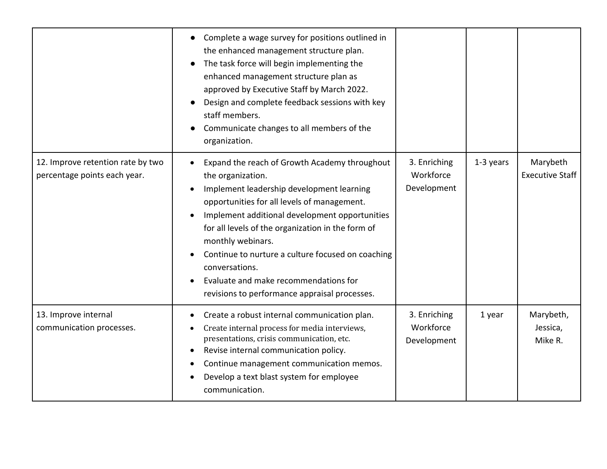|                                                                   | Complete a wage survey for positions outlined in<br>the enhanced management structure plan.<br>The task force will begin implementing the<br>enhanced management structure plan as<br>approved by Executive Staff by March 2022.<br>Design and complete feedback sessions with key<br>staff members.<br>Communicate changes to all members of the<br>organization.                                                                                          |                                          |           |                                    |
|-------------------------------------------------------------------|-------------------------------------------------------------------------------------------------------------------------------------------------------------------------------------------------------------------------------------------------------------------------------------------------------------------------------------------------------------------------------------------------------------------------------------------------------------|------------------------------------------|-----------|------------------------------------|
| 12. Improve retention rate by two<br>percentage points each year. | Expand the reach of Growth Academy throughout<br>the organization.<br>Implement leadership development learning<br>opportunities for all levels of management.<br>Implement additional development opportunities<br>for all levels of the organization in the form of<br>monthly webinars.<br>Continue to nurture a culture focused on coaching<br>conversations.<br>Evaluate and make recommendations for<br>revisions to performance appraisal processes. | 3. Enriching<br>Workforce<br>Development | 1-3 years | Marybeth<br><b>Executive Staff</b> |
| 13. Improve internal<br>communication processes.                  | Create a robust internal communication plan.<br>Create internal process for media interviews,<br>presentations, crisis communication, etc.<br>Revise internal communication policy.<br>Continue management communication memos.<br>Develop a text blast system for employee<br>communication.                                                                                                                                                               | 3. Enriching<br>Workforce<br>Development | 1 year    | Marybeth,<br>Jessica,<br>Mike R.   |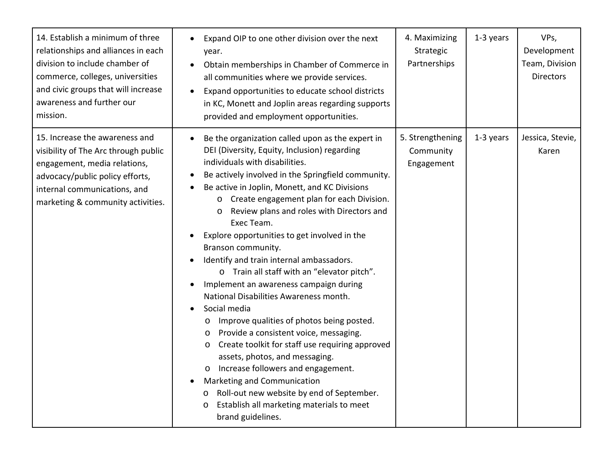| 14. Establish a minimum of three<br>relationships and alliances in each<br>division to include chamber of<br>commerce, colleges, universities<br>and civic groups that will increase<br>awareness and further our<br>mission. | Expand OIP to one other division over the next<br>year.<br>Obtain memberships in Chamber of Commerce in<br>all communities where we provide services.<br>Expand opportunities to educate school districts<br>in KC, Monett and Joplin areas regarding supports<br>provided and employment opportunities.                                                                                                                                                                                                                                                                                                                                                                                                                                                                                                                                                                                                                                                                                                                                                                        | 4. Maximizing<br>Strategic<br>Partnerships  | 1-3 years | VPs,<br>Development<br>Team, Division<br><b>Directors</b> |
|-------------------------------------------------------------------------------------------------------------------------------------------------------------------------------------------------------------------------------|---------------------------------------------------------------------------------------------------------------------------------------------------------------------------------------------------------------------------------------------------------------------------------------------------------------------------------------------------------------------------------------------------------------------------------------------------------------------------------------------------------------------------------------------------------------------------------------------------------------------------------------------------------------------------------------------------------------------------------------------------------------------------------------------------------------------------------------------------------------------------------------------------------------------------------------------------------------------------------------------------------------------------------------------------------------------------------|---------------------------------------------|-----------|-----------------------------------------------------------|
| 15. Increase the awareness and<br>visibility of The Arc through public<br>engagement, media relations,<br>advocacy/public policy efforts,<br>internal communications, and<br>marketing & community activities.                | Be the organization called upon as the expert in<br>DEI (Diversity, Equity, Inclusion) regarding<br>individuals with disabilities.<br>Be actively involved in the Springfield community.<br>Be active in Joplin, Monett, and KC Divisions<br>Create engagement plan for each Division.<br>$\circ$<br>Review plans and roles with Directors and<br>$\circ$<br>Exec Team.<br>Explore opportunities to get involved in the<br>Branson community.<br>Identify and train internal ambassadors.<br>$\bullet$<br>o Train all staff with an "elevator pitch".<br>Implement an awareness campaign during<br>National Disabilities Awareness month.<br>Social media<br>Improve qualities of photos being posted.<br>O<br>Provide a consistent voice, messaging.<br>$\circ$<br>Create toolkit for staff use requiring approved<br>O<br>assets, photos, and messaging.<br>Increase followers and engagement.<br>$\circ$<br>Marketing and Communication<br>Roll-out new website by end of September.<br>$\circ$<br>Establish all marketing materials to meet<br>$\circ$<br>brand guidelines. | 5. Strengthening<br>Community<br>Engagement | 1-3 years | Jessica, Stevie,<br>Karen                                 |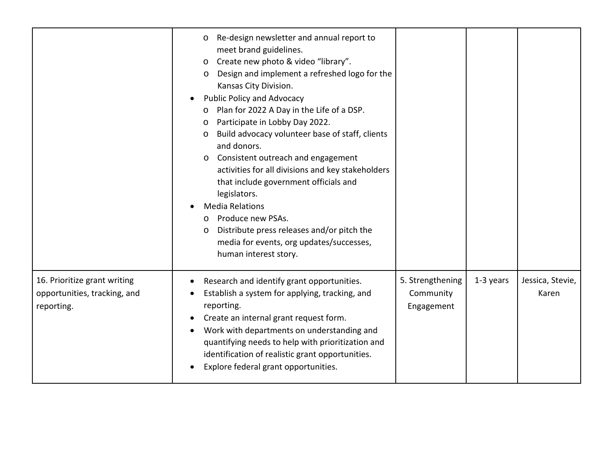|                                                                            | Re-design newsletter and annual report to<br>$\circ$<br>meet brand guidelines.<br>Create new photo & video "library".<br>$\circ$<br>Design and implement a refreshed logo for the<br>$\circ$<br>Kansas City Division.<br><b>Public Policy and Advocacy</b><br>Plan for 2022 A Day in the Life of a DSP.<br>$\circ$<br>Participate in Lobby Day 2022.<br>$\circ$<br>Build advocacy volunteer base of staff, clients<br>$\circ$<br>and donors.<br>Consistent outreach and engagement<br>$\circ$<br>activities for all divisions and key stakeholders<br>that include government officials and<br>legislators.<br><b>Media Relations</b><br>Produce new PSAs.<br>$\Omega$<br>Distribute press releases and/or pitch the<br>$\circ$<br>media for events, org updates/successes,<br>human interest story. |                                             |           |                           |
|----------------------------------------------------------------------------|------------------------------------------------------------------------------------------------------------------------------------------------------------------------------------------------------------------------------------------------------------------------------------------------------------------------------------------------------------------------------------------------------------------------------------------------------------------------------------------------------------------------------------------------------------------------------------------------------------------------------------------------------------------------------------------------------------------------------------------------------------------------------------------------------|---------------------------------------------|-----------|---------------------------|
| 16. Prioritize grant writing<br>opportunities, tracking, and<br>reporting. | Research and identify grant opportunities.<br>Establish a system for applying, tracking, and<br>reporting.<br>Create an internal grant request form.<br>Work with departments on understanding and<br>quantifying needs to help with prioritization and<br>identification of realistic grant opportunities.<br>Explore federal grant opportunities.                                                                                                                                                                                                                                                                                                                                                                                                                                                  | 5. Strengthening<br>Community<br>Engagement | 1-3 years | Jessica, Stevie,<br>Karen |